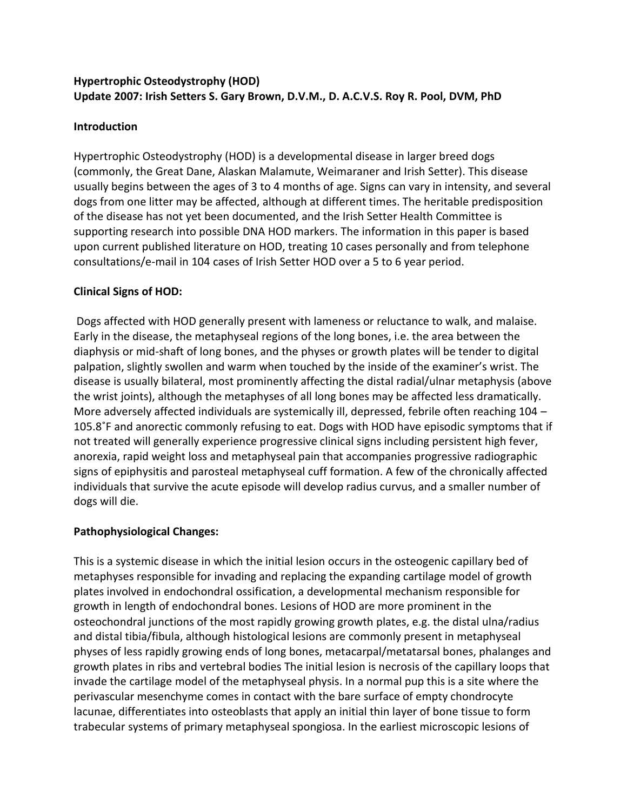# **Hypertrophic Osteodystrophy (HOD) Update 2007: Irish Setters S. Gary Brown, D.V.M., D. A.C.V.S. Roy R. Pool, DVM, PhD**

### **Introduction**

Hypertrophic Osteodystrophy (HOD) is a developmental disease in larger breed dogs (commonly, the Great Dane, Alaskan Malamute, Weimaraner and Irish Setter). This disease usually begins between the ages of 3 to 4 months of age. Signs can vary in intensity, and several dogs from one litter may be affected, although at different times. The heritable predisposition of the disease has not yet been documented, and the Irish Setter Health Committee is supporting research into possible DNA HOD markers. The information in this paper is based upon current published literature on HOD, treating 10 cases personally and from telephone consultations/e-mail in 104 cases of Irish Setter HOD over a 5 to 6 year period.

#### **Clinical Signs of HOD:**

Dogs affected with HOD generally present with lameness or reluctance to walk, and malaise. Early in the disease, the metaphyseal regions of the long bones, i.e. the area between the diaphysis or mid-shaft of long bones, and the physes or growth plates will be tender to digital palpation, slightly swollen and warm when touched by the inside of the examiner's wrist. The disease is usually bilateral, most prominently affecting the distal radial/ulnar metaphysis (above the wrist joints), although the metaphyses of all long bones may be affected less dramatically. More adversely affected individuals are systemically ill, depressed, febrile often reaching 104 – 105.8˚F and anorectic commonly refusing to eat. Dogs with HOD have episodic symptoms that if not treated will generally experience progressive clinical signs including persistent high fever, anorexia, rapid weight loss and metaphyseal pain that accompanies progressive radiographic signs of epiphysitis and parosteal metaphyseal cuff formation. A few of the chronically affected individuals that survive the acute episode will develop radius curvus, and a smaller number of dogs will die.

## **Pathophysiological Changes:**

This is a systemic disease in which the initial lesion occurs in the osteogenic capillary bed of metaphyses responsible for invading and replacing the expanding cartilage model of growth plates involved in endochondral ossification, a developmental mechanism responsible for growth in length of endochondral bones. Lesions of HOD are more prominent in the osteochondral junctions of the most rapidly growing growth plates, e.g. the distal ulna/radius and distal tibia/fibula, although histological lesions are commonly present in metaphyseal physes of less rapidly growing ends of long bones, metacarpal/metatarsal bones, phalanges and growth plates in ribs and vertebral bodies The initial lesion is necrosis of the capillary loops that invade the cartilage model of the metaphyseal physis. In a normal pup this is a site where the perivascular mesenchyme comes in contact with the bare surface of empty chondrocyte lacunae, differentiates into osteoblasts that apply an initial thin layer of bone tissue to form trabecular systems of primary metaphyseal spongiosa. In the earliest microscopic lesions of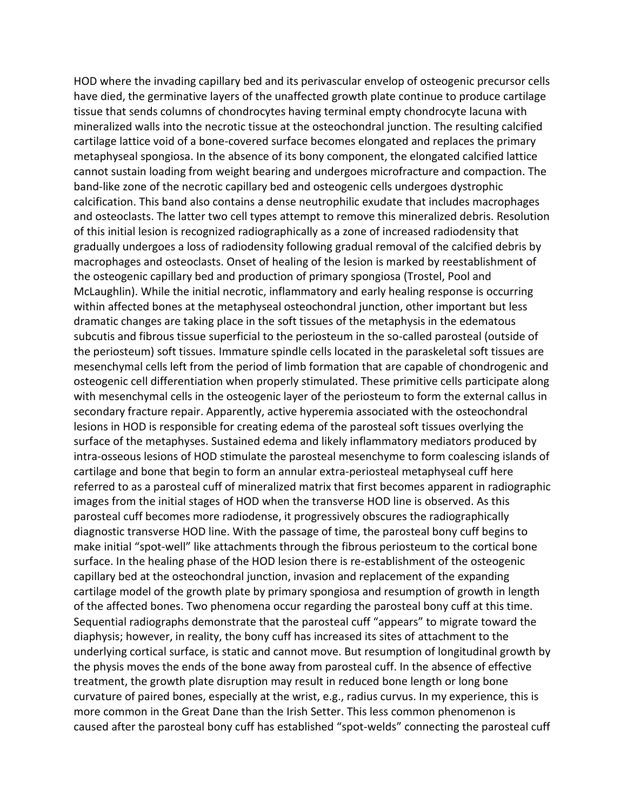HOD where the invading capillary bed and its perivascular envelop of osteogenic precursor cells have died, the germinative layers of the unaffected growth plate continue to produce cartilage tissue that sends columns of chondrocytes having terminal empty chondrocyte lacuna with mineralized walls into the necrotic tissue at the osteochondral junction. The resulting calcified cartilage lattice void of a bone-covered surface becomes elongated and replaces the primary metaphyseal spongiosa. In the absence of its bony component, the elongated calcified lattice cannot sustain loading from weight bearing and undergoes microfracture and compaction. The band-like zone of the necrotic capillary bed and osteogenic cells undergoes dystrophic calcification. This band also contains a dense neutrophilic exudate that includes macrophages and osteoclasts. The latter two cell types attempt to remove this mineralized debris. Resolution of this initial lesion is recognized radiographically as a zone of increased radiodensity that gradually undergoes a loss of radiodensity following gradual removal of the calcified debris by macrophages and osteoclasts. Onset of healing of the lesion is marked by reestablishment of the osteogenic capillary bed and production of primary spongiosa (Trostel, Pool and McLaughlin). While the initial necrotic, inflammatory and early healing response is occurring within affected bones at the metaphyseal osteochondral junction, other important but less dramatic changes are taking place in the soft tissues of the metaphysis in the edematous subcutis and fibrous tissue superficial to the periosteum in the so-called parosteal (outside of the periosteum) soft tissues. Immature spindle cells located in the paraskeletal soft tissues are mesenchymal cells left from the period of limb formation that are capable of chondrogenic and osteogenic cell differentiation when properly stimulated. These primitive cells participate along with mesenchymal cells in the osteogenic layer of the periosteum to form the external callus in secondary fracture repair. Apparently, active hyperemia associated with the osteochondral lesions in HOD is responsible for creating edema of the parosteal soft tissues overlying the surface of the metaphyses. Sustained edema and likely inflammatory mediators produced by intra-osseous lesions of HOD stimulate the parosteal mesenchyme to form coalescing islands of cartilage and bone that begin to form an annular extra-periosteal metaphyseal cuff here referred to as a parosteal cuff of mineralized matrix that first becomes apparent in radiographic images from the initial stages of HOD when the transverse HOD line is observed. As this parosteal cuff becomes more radiodense, it progressively obscures the radiographically diagnostic transverse HOD line. With the passage of time, the parosteal bony cuff begins to make initial "spot-well" like attachments through the fibrous periosteum to the cortical bone surface. In the healing phase of the HOD lesion there is re-establishment of the osteogenic capillary bed at the osteochondral junction, invasion and replacement of the expanding cartilage model of the growth plate by primary spongiosa and resumption of growth in length of the affected bones. Two phenomena occur regarding the parosteal bony cuff at this time. Sequential radiographs demonstrate that the parosteal cuff "appears" to migrate toward the diaphysis; however, in reality, the bony cuff has increased its sites of attachment to the underlying cortical surface, is static and cannot move. But resumption of longitudinal growth by the physis moves the ends of the bone away from parosteal cuff. In the absence of effective treatment, the growth plate disruption may result in reduced bone length or long bone curvature of paired bones, especially at the wrist, e.g., radius curvus. In my experience, this is more common in the Great Dane than the Irish Setter. This less common phenomenon is caused after the parosteal bony cuff has established "spot-welds" connecting the parosteal cuff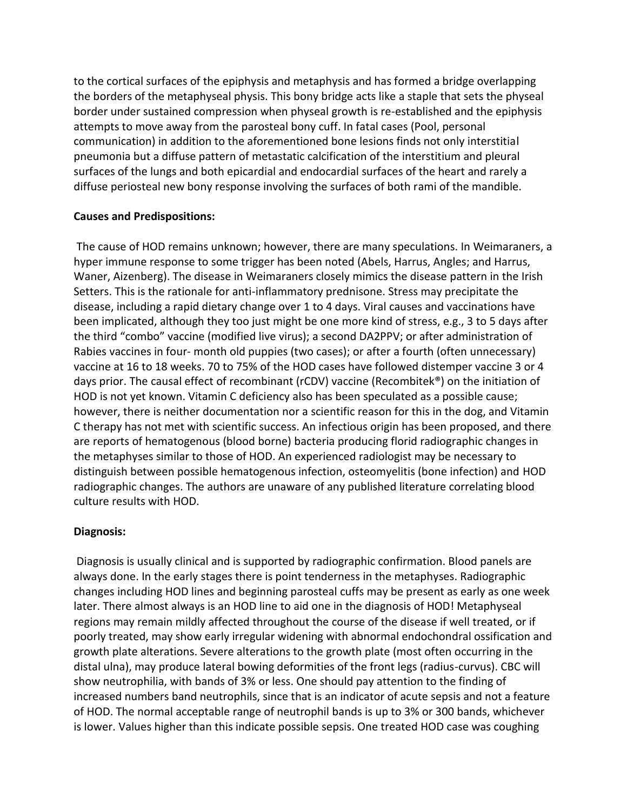to the cortical surfaces of the epiphysis and metaphysis and has formed a bridge overlapping the borders of the metaphyseal physis. This bony bridge acts like a staple that sets the physeal border under sustained compression when physeal growth is re-established and the epiphysis attempts to move away from the parosteal bony cuff. In fatal cases (Pool, personal communication) in addition to the aforementioned bone lesions finds not only interstitial pneumonia but a diffuse pattern of metastatic calcification of the interstitium and pleural surfaces of the lungs and both epicardial and endocardial surfaces of the heart and rarely a diffuse periosteal new bony response involving the surfaces of both rami of the mandible.

#### **Causes and Predispositions:**

The cause of HOD remains unknown; however, there are many speculations. In Weimaraners, a hyper immune response to some trigger has been noted (Abels, Harrus, Angles; and Harrus, Waner, Aizenberg). The disease in Weimaraners closely mimics the disease pattern in the Irish Setters. This is the rationale for anti-inflammatory prednisone. Stress may precipitate the disease, including a rapid dietary change over 1 to 4 days. Viral causes and vaccinations have been implicated, although they too just might be one more kind of stress, e.g., 3 to 5 days after the third "combo" vaccine (modified live virus); a second DA2PPV; or after administration of Rabies vaccines in four- month old puppies (two cases); or after a fourth (often unnecessary) vaccine at 16 to 18 weeks. 70 to 75% of the HOD cases have followed distemper vaccine 3 or 4 days prior. The causal effect of recombinant (rCDV) vaccine (Recombitek®) on the initiation of HOD is not yet known. Vitamin C deficiency also has been speculated as a possible cause; however, there is neither documentation nor a scientific reason for this in the dog, and Vitamin C therapy has not met with scientific success. An infectious origin has been proposed, and there are reports of hematogenous (blood borne) bacteria producing florid radiographic changes in the metaphyses similar to those of HOD. An experienced radiologist may be necessary to distinguish between possible hematogenous infection, osteomyelitis (bone infection) and HOD radiographic changes. The authors are unaware of any published literature correlating blood culture results with HOD.

## **Diagnosis:**

Diagnosis is usually clinical and is supported by radiographic confirmation. Blood panels are always done. In the early stages there is point tenderness in the metaphyses. Radiographic changes including HOD lines and beginning parosteal cuffs may be present as early as one week later. There almost always is an HOD line to aid one in the diagnosis of HOD! Metaphyseal regions may remain mildly affected throughout the course of the disease if well treated, or if poorly treated, may show early irregular widening with abnormal endochondral ossification and growth plate alterations. Severe alterations to the growth plate (most often occurring in the distal ulna), may produce lateral bowing deformities of the front legs (radius-curvus). CBC will show neutrophilia, with bands of 3% or less. One should pay attention to the finding of increased numbers band neutrophils, since that is an indicator of acute sepsis and not a feature of HOD. The normal acceptable range of neutrophil bands is up to 3% or 300 bands, whichever is lower. Values higher than this indicate possible sepsis. One treated HOD case was coughing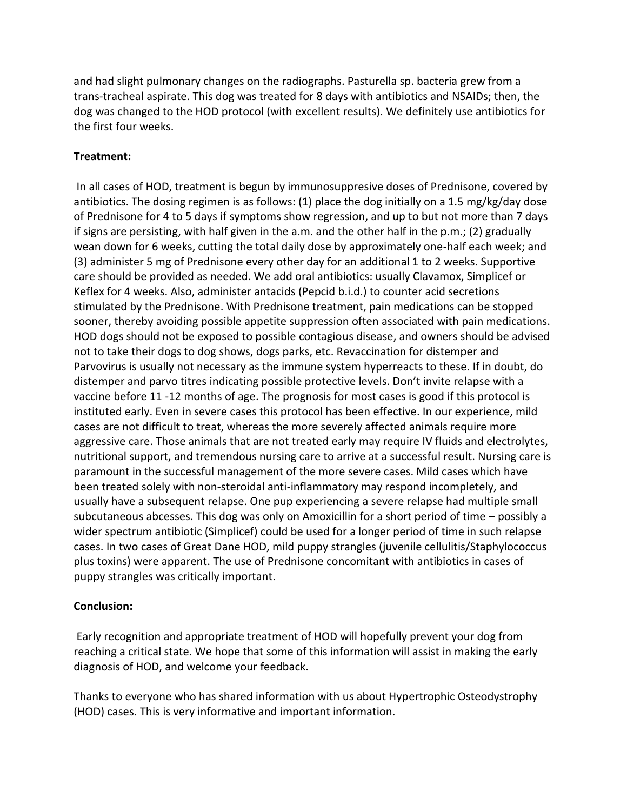and had slight pulmonary changes on the radiographs. Pasturella sp. bacteria grew from a trans-tracheal aspirate. This dog was treated for 8 days with antibiotics and NSAIDs; then, the dog was changed to the HOD protocol (with excellent results). We definitely use antibiotics for the first four weeks.

#### **Treatment:**

In all cases of HOD, treatment is begun by immunosuppresive doses of Prednisone, covered by antibiotics. The dosing regimen is as follows: (1) place the dog initially on a 1.5 mg/kg/day dose of Prednisone for 4 to 5 days if symptoms show regression, and up to but not more than 7 days if signs are persisting, with half given in the a.m. and the other half in the p.m.; (2) gradually wean down for 6 weeks, cutting the total daily dose by approximately one-half each week; and (3) administer 5 mg of Prednisone every other day for an additional 1 to 2 weeks. Supportive care should be provided as needed. We add oral antibiotics: usually Clavamox, Simplicef or Keflex for 4 weeks. Also, administer antacids (Pepcid b.i.d.) to counter acid secretions stimulated by the Prednisone. With Prednisone treatment, pain medications can be stopped sooner, thereby avoiding possible appetite suppression often associated with pain medications. HOD dogs should not be exposed to possible contagious disease, and owners should be advised not to take their dogs to dog shows, dogs parks, etc. Revaccination for distemper and Parvovirus is usually not necessary as the immune system hyperreacts to these. If in doubt, do distemper and parvo titres indicating possible protective levels. Don't invite relapse with a vaccine before 11 -12 months of age. The prognosis for most cases is good if this protocol is instituted early. Even in severe cases this protocol has been effective. In our experience, mild cases are not difficult to treat, whereas the more severely affected animals require more aggressive care. Those animals that are not treated early may require IV fluids and electrolytes, nutritional support, and tremendous nursing care to arrive at a successful result. Nursing care is paramount in the successful management of the more severe cases. Mild cases which have been treated solely with non-steroidal anti-inflammatory may respond incompletely, and usually have a subsequent relapse. One pup experiencing a severe relapse had multiple small subcutaneous abcesses. This dog was only on Amoxicillin for a short period of time – possibly a wider spectrum antibiotic (Simplicef) could be used for a longer period of time in such relapse cases. In two cases of Great Dane HOD, mild puppy strangles (juvenile cellulitis/Staphylococcus plus toxins) were apparent. The use of Prednisone concomitant with antibiotics in cases of puppy strangles was critically important.

## **Conclusion:**

Early recognition and appropriate treatment of HOD will hopefully prevent your dog from reaching a critical state. We hope that some of this information will assist in making the early diagnosis of HOD, and welcome your feedback.

Thanks to everyone who has shared information with us about Hypertrophic Osteodystrophy (HOD) cases. This is very informative and important information.